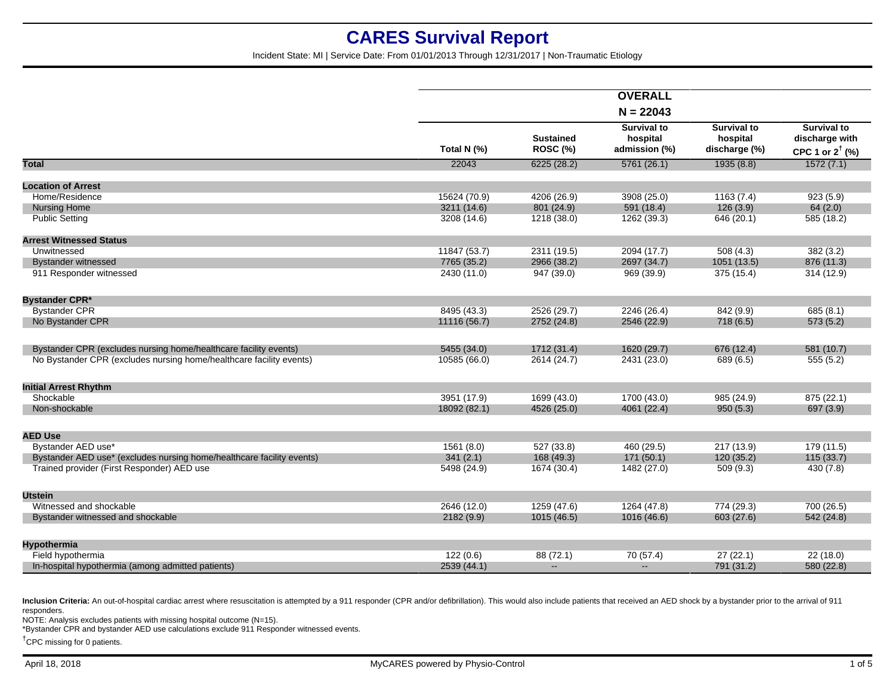Incident State: MI | Service Date: From 01/01/2013 Through 12/31/2017 | Non-Traumatic Etiology

|                                                                       |              |                                     | <b>OVERALL</b>                                  |                                                 |                                                                    |
|-----------------------------------------------------------------------|--------------|-------------------------------------|-------------------------------------------------|-------------------------------------------------|--------------------------------------------------------------------|
|                                                                       | $N = 22043$  |                                     |                                                 |                                                 |                                                                    |
|                                                                       | Total N (%)  | <b>Sustained</b><br><b>ROSC (%)</b> | <b>Survival to</b><br>hospital<br>admission (%) | <b>Survival to</b><br>hospital<br>discharge (%) | <b>Survival to</b><br>discharge with<br>CPC 1 or $2^{\dagger}$ (%) |
| <b>Total</b>                                                          | 22043        | 6225(28.2)                          | 5761(26.1)                                      | 1935(8.8)                                       | 1572(7.1)                                                          |
| <b>Location of Arrest</b>                                             |              |                                     |                                                 |                                                 |                                                                    |
| Home/Residence                                                        | 15624 (70.9) | 4206 (26.9)                         | 3908 (25.0)                                     | 1163(7.4)                                       | 923(5.9)                                                           |
| <b>Nursing Home</b>                                                   | 3211 (14.6)  | 801 (24.9)                          | 591(18.4)                                       | 126(3.9)                                        | 64(2.0)                                                            |
| <b>Public Setting</b>                                                 | 3208 (14.6)  | 1218 (38.0)                         | 1262 (39.3)                                     | 646 (20.1)                                      | 585 (18.2)                                                         |
| <b>Arrest Witnessed Status</b>                                        |              |                                     |                                                 |                                                 |                                                                    |
| Unwitnessed                                                           | 11847 (53.7) | 2311 (19.5)                         | 2094 (17.7)                                     | 508(4.3)                                        | 382(3.2)                                                           |
| <b>Bystander witnessed</b>                                            | 7765 (35.2)  | 2966 (38.2)                         | 2697 (34.7)                                     | 1051 (13.5)                                     | 876 (11.3)                                                         |
| 911 Responder witnessed                                               | 2430 (11.0)  | 947 (39.0)                          | 969 (39.9)                                      | 375(15.4)                                       | 314(12.9)                                                          |
| Bystander CPR*                                                        |              |                                     |                                                 |                                                 |                                                                    |
| <b>Bystander CPR</b>                                                  | 8495 (43.3)  | 2526 (29.7)                         | 2246 (26.4)                                     | 842 (9.9)                                       | 685(8.1)                                                           |
| No Bystander CPR                                                      | 11116 (56.7) | 2752 (24.8)                         | 2546 (22.9)                                     | 718(6.5)                                        | 573(5.2)                                                           |
| Bystander CPR (excludes nursing home/healthcare facility events)      | 5455 (34.0)  | 1712 (31.4)                         | 1620 (29.7)                                     | 676 (12.4)                                      | 581 (10.7)                                                         |
| No Bystander CPR (excludes nursing home/healthcare facility events)   | 10585 (66.0) | 2614 (24.7)                         | 2431 (23.0)                                     | 689 (6.5)                                       | 555(5.2)                                                           |
| <b>Initial Arrest Rhythm</b>                                          |              |                                     |                                                 |                                                 |                                                                    |
| Shockable                                                             | 3951 (17.9)  | 1699 (43.0)                         | 1700(43.0)                                      | 985 (24.9)                                      | 875(22.1)                                                          |
| Non-shockable                                                         | 18092 (82.1) | 4526 (25.0)                         | 4061 (22.4)                                     | 950(5.3)                                        | 697 (3.9)                                                          |
| <b>AED Use</b>                                                        |              |                                     |                                                 |                                                 |                                                                    |
| Bystander AED use*                                                    | 1561(8.0)    | 527 (33.8)                          | 460 (29.5)                                      | 217(13.9)                                       | 179 (11.5)                                                         |
| Bystander AED use* (excludes nursing home/healthcare facility events) | 341(2.1)     | 168 (49.3)                          | 171(50.1)                                       | 120 (35.2)                                      | 115(33.7)                                                          |
| Trained provider (First Responder) AED use                            | 5498 (24.9)  | 1674 (30.4)                         | 1482 (27.0)                                     | 509(9.3)                                        | 430 (7.8)                                                          |
| <b>Utstein</b>                                                        |              |                                     |                                                 |                                                 |                                                                    |
| Witnessed and shockable                                               | 2646 (12.0)  | 1259(47.6)                          | 1264(47.8)                                      | 774 (29.3)                                      | 700 (26.5)                                                         |
| Bystander witnessed and shockable                                     | 2182 (9.9)   | 1015 (46.5)                         | 1016 (46.6)                                     | 603 (27.6)                                      | 542 (24.8)                                                         |
| Hypothermia                                                           |              |                                     |                                                 |                                                 |                                                                    |
| Field hypothermia                                                     | 122(0.6)     | 88 (72.1)                           | 70 (57.4)                                       | 27(22.1)                                        | 22(18.0)                                                           |
| In-hospital hypothermia (among admitted patients)                     | 2539 (44.1)  | $\overline{a}$                      | $\overline{a}$                                  | 791 (31.2)                                      | 580 (22.8)                                                         |

Inclusion Criteria: An out-of-hospital cardiac arrest where resuscitation is attempted by a 911 responder (CPR and/or defibrillation). This would also include patients that received an AED shock by a bystander prior to the responders.

NOTE: Analysis excludes patients with missing hospital outcome (N=15).

\*Bystander CPR and bystander AED use calculations exclude 911 Responder witnessed events.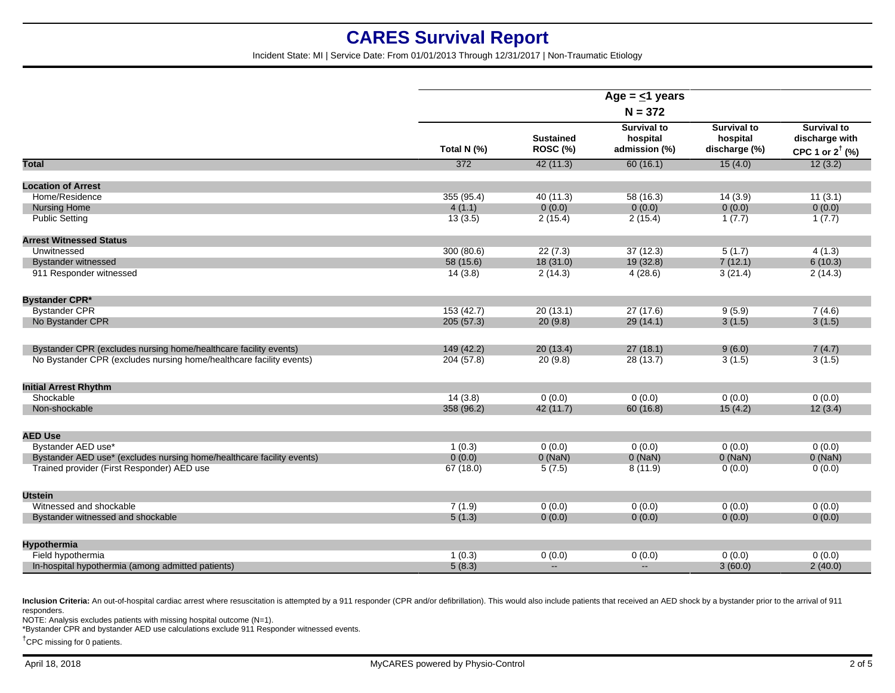Incident State: MI | Service Date: From 01/01/2013 Through 12/31/2017 | Non-Traumatic Etiology

|                                                                       | Age = $\leq$ 1 years |                              |                                                 |                                                 |                                                                    |  |
|-----------------------------------------------------------------------|----------------------|------------------------------|-------------------------------------------------|-------------------------------------------------|--------------------------------------------------------------------|--|
|                                                                       | $N = 372$            |                              |                                                 |                                                 |                                                                    |  |
|                                                                       | Total N (%)          | <b>Sustained</b><br>ROSC (%) | <b>Survival to</b><br>hospital<br>admission (%) | <b>Survival to</b><br>hospital<br>discharge (%) | <b>Survival to</b><br>discharge with<br>CPC 1 or $2^{\dagger}$ (%) |  |
| <b>Total</b>                                                          | 372                  | 42(11.3)                     | 60(16.1)                                        | 15(4.0)                                         | 12(3.2)                                                            |  |
| <b>Location of Arrest</b>                                             |                      |                              |                                                 |                                                 |                                                                    |  |
| Home/Residence                                                        | 355 (95.4)           | 40 (11.3)                    | 58 (16.3)                                       | 14(3.9)                                         | 11(3.1)                                                            |  |
| <b>Nursing Home</b>                                                   | 4(1.1)               | 0(0.0)                       | 0(0.0)                                          | 0(0.0)                                          | 0(0.0)                                                             |  |
| <b>Public Setting</b>                                                 | 13(3.5)              | 2(15.4)                      | 2(15.4)                                         | 1(7.7)                                          | 1(7.7)                                                             |  |
| <b>Arrest Witnessed Status</b>                                        |                      |                              |                                                 |                                                 |                                                                    |  |
| Unwitnessed                                                           | 300 (80.6)           | 22(7.3)                      | 37(12.3)                                        | 5(1.7)                                          | 4(1.3)                                                             |  |
| <b>Bystander witnessed</b>                                            | 58 (15.6)            | 18(31.0)                     | 19 (32.8)                                       | 7(12.1)                                         | 6(10.3)                                                            |  |
| 911 Responder witnessed                                               | 14(3.8)              | 2(14.3)                      | 4(28.6)                                         | 3(21.4)                                         | 2(14.3)                                                            |  |
| <b>Bystander CPR*</b>                                                 |                      |                              |                                                 |                                                 |                                                                    |  |
| <b>Bystander CPR</b>                                                  | 153(42.7)            | 20(13.1)                     | 27(17.6)                                        | 9(5.9)                                          | 7(4.6)                                                             |  |
| No Bystander CPR                                                      | 205(57.3)            | 20(9.8)                      | 29(14.1)                                        | 3(1.5)                                          | 3(1.5)                                                             |  |
| Bystander CPR (excludes nursing home/healthcare facility events)      | 149(42.2)            | 20(13.4)                     | 27(18.1)                                        | 9(6.0)                                          | 7(4.7)                                                             |  |
| No Bystander CPR (excludes nursing home/healthcare facility events)   | 204(57.8)            | 20(9.8)                      | 28 (13.7)                                       | 3(1.5)                                          | 3(1.5)                                                             |  |
| <b>Initial Arrest Rhythm</b>                                          |                      |                              |                                                 |                                                 |                                                                    |  |
| Shockable                                                             | 14(3.8)              | 0(0.0)                       | 0(0.0)                                          | 0(0.0)                                          | 0(0.0)                                                             |  |
| Non-shockable                                                         | 358 (96.2)           | 42(11.7)                     | 60 (16.8)                                       | 15(4.2)                                         | 12(3.4)                                                            |  |
| <b>AED Use</b>                                                        |                      |                              |                                                 |                                                 |                                                                    |  |
| Bystander AED use*                                                    | 1(0.3)               | 0(0.0)                       | 0(0.0)                                          | 0(0.0)                                          | 0(0.0)                                                             |  |
| Bystander AED use* (excludes nursing home/healthcare facility events) | 0(0.0)               | $0$ (NaN)                    | $0$ (NaN)                                       | $0$ (NaN)                                       | $0$ (NaN)                                                          |  |
| Trained provider (First Responder) AED use                            | 67(18.0)             | 5(7.5)                       | 8(11.9)                                         | 0(0.0)                                          | 0(0.0)                                                             |  |
| <b>Utstein</b>                                                        |                      |                              |                                                 |                                                 |                                                                    |  |
| Witnessed and shockable                                               | 7(1.9)               | 0(0.0)                       | 0(0.0)                                          | 0(0.0)                                          | 0(0.0)                                                             |  |
| Bystander witnessed and shockable                                     | 5(1.3)               | 0(0.0)                       | 0(0.0)                                          | 0(0.0)                                          | 0(0.0)                                                             |  |
| <b>Hypothermia</b>                                                    |                      |                              |                                                 |                                                 |                                                                    |  |
| Field hypothermia                                                     | 1(0.3)               | 0(0.0)                       | 0(0.0)                                          | 0(0.0)                                          | 0(0.0)                                                             |  |
| In-hospital hypothermia (among admitted patients)                     | 5(8.3)               | $\overline{a}$               | $\mathbf{u}$                                    | 3(60.0)                                         | 2(40.0)                                                            |  |

Inclusion Criteria: An out-of-hospital cardiac arrest where resuscitation is attempted by a 911 responder (CPR and/or defibrillation). This would also include patients that received an AED shock by a bystander prior to the responders.

NOTE: Analysis excludes patients with missing hospital outcome (N=1).

\*Bystander CPR and bystander AED use calculations exclude 911 Responder witnessed events.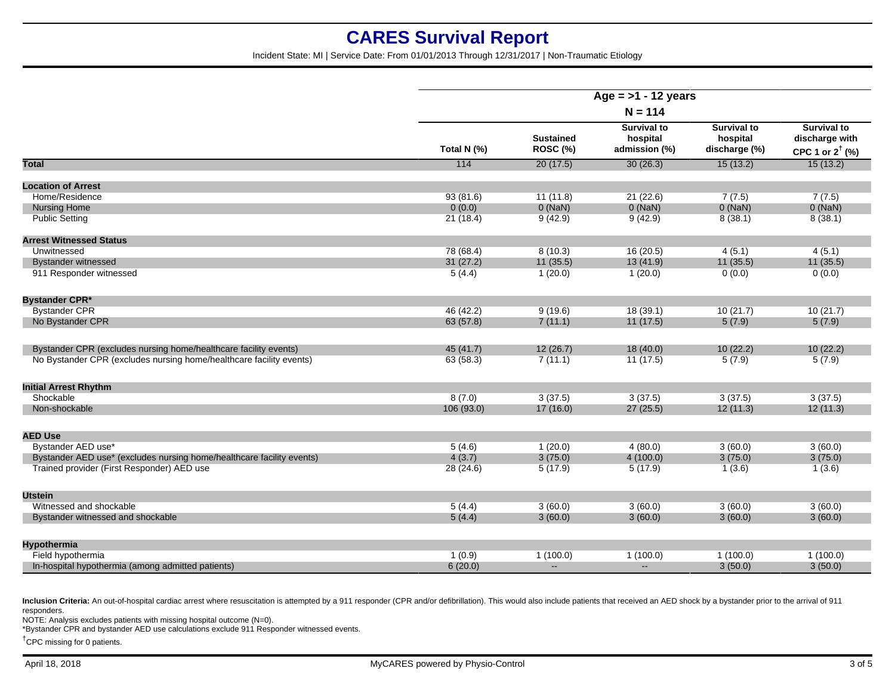Incident State: MI | Service Date: From 01/01/2013 Through 12/31/2017 | Non-Traumatic Etiology

|                                                                       | Age = $>1$ - 12 years<br>$N = 114$ |                              |                                                 |                                                 |                                                                    |
|-----------------------------------------------------------------------|------------------------------------|------------------------------|-------------------------------------------------|-------------------------------------------------|--------------------------------------------------------------------|
|                                                                       |                                    |                              |                                                 |                                                 |                                                                    |
|                                                                       | Total N (%)                        | <b>Sustained</b><br>ROSC (%) | <b>Survival to</b><br>hospital<br>admission (%) | <b>Survival to</b><br>hospital<br>discharge (%) | <b>Survival to</b><br>discharge with<br>CPC 1 or $2^{\dagger}$ (%) |
| <b>Total</b>                                                          | 114                                | 20(17.5)                     | 30(26.3)                                        | 15(13.2)                                        | 15(13.2)                                                           |
| <b>Location of Arrest</b>                                             |                                    |                              |                                                 |                                                 |                                                                    |
| Home/Residence                                                        | 93(81.6)                           | 11(11.8)                     | 21(22.6)                                        | 7(7.5)                                          | 7(7.5)                                                             |
| <b>Nursing Home</b>                                                   | 0(0.0)                             | $0$ (NaN)                    | $0$ (NaN)                                       | $0$ (NaN)                                       | $0$ (NaN)                                                          |
| <b>Public Setting</b>                                                 | 21(18.4)                           | 9(42.9)                      | 9(42.9)                                         | 8(38.1)                                         | 8(38.1)                                                            |
| <b>Arrest Witnessed Status</b>                                        |                                    |                              |                                                 |                                                 |                                                                    |
| Unwitnessed                                                           | 78 (68.4)                          | 8(10.3)                      | 16(20.5)                                        | 4(5.1)                                          | 4(5.1)                                                             |
| <b>Bystander witnessed</b>                                            | 31(27.2)                           | 11(35.5)                     | 13(41.9)                                        | 11(35.5)                                        | 11(35.5)                                                           |
| 911 Responder witnessed                                               | 5(4.4)                             | 1(20.0)                      | 1(20.0)                                         | 0(0.0)                                          | 0(0.0)                                                             |
| <b>Bystander CPR*</b>                                                 |                                    |                              |                                                 |                                                 |                                                                    |
| <b>Bystander CPR</b>                                                  | 46 (42.2)                          | 9(19.6)                      | 18(39.1)                                        | 10(21.7)                                        | 10(21.7)                                                           |
| No Bystander CPR                                                      | 63(57.8)                           | 7(11.1)                      | 11(17.5)                                        | 5(7.9)                                          | 5(7.9)                                                             |
| Bystander CPR (excludes nursing home/healthcare facility events)      | 45 (41.7)                          | 12(26.7)                     | 18(40.0)                                        | 10(22.2)                                        | 10(22.2)                                                           |
| No Bystander CPR (excludes nursing home/healthcare facility events)   | 63 (58.3)                          | 7(11.1)                      | 11(17.5)                                        | 5(7.9)                                          | 5(7.9)                                                             |
| <b>Initial Arrest Rhythm</b>                                          |                                    |                              |                                                 |                                                 |                                                                    |
| Shockable                                                             | 8(7.0)                             | 3(37.5)                      | 3(37.5)                                         | 3(37.5)                                         | 3(37.5)                                                            |
| Non-shockable                                                         | 106 (93.0)                         | 17(16.0)                     | 27(25.5)                                        | 12(11.3)                                        | 12(11.3)                                                           |
| <b>AED Use</b>                                                        |                                    |                              |                                                 |                                                 |                                                                    |
| Bystander AED use*                                                    | 5(4.6)                             | 1(20.0)                      | 4(80.0)                                         | 3(60.0)                                         | 3(60.0)                                                            |
| Bystander AED use* (excludes nursing home/healthcare facility events) | 4(3.7)                             | 3(75.0)                      | 4(100.0)                                        | 3(75.0)                                         | 3(75.0)                                                            |
| Trained provider (First Responder) AED use                            | 28(24.6)                           | 5(17.9)                      | 5(17.9)                                         | 1(3.6)                                          | 1(3.6)                                                             |
| <b>Utstein</b>                                                        |                                    |                              |                                                 |                                                 |                                                                    |
| Witnessed and shockable                                               | 5(4.4)                             | 3(60.0)                      | 3(60.0)                                         | 3(60.0)                                         | 3(60.0)                                                            |
| Bystander witnessed and shockable                                     | 5(4.4)                             | 3(60.0)                      | 3(60.0)                                         | 3(60.0)                                         | 3(60.0)                                                            |
| Hypothermia                                                           |                                    |                              |                                                 |                                                 |                                                                    |
| Field hypothermia                                                     | 1(0.9)                             | 1(100.0)                     | 1(100.0)                                        | 1(100.0)                                        | 1(100.0)                                                           |
| In-hospital hypothermia (among admitted patients)                     | 6(20.0)                            | $\sim$                       | $\sim$                                          | 3(50.0)                                         | 3(50.0)                                                            |

Inclusion Criteria: An out-of-hospital cardiac arrest where resuscitation is attempted by a 911 responder (CPR and/or defibrillation). This would also include patients that received an AED shock by a bystander prior to the responders.

NOTE: Analysis excludes patients with missing hospital outcome (N=0).

\*Bystander CPR and bystander AED use calculations exclude 911 Responder witnessed events.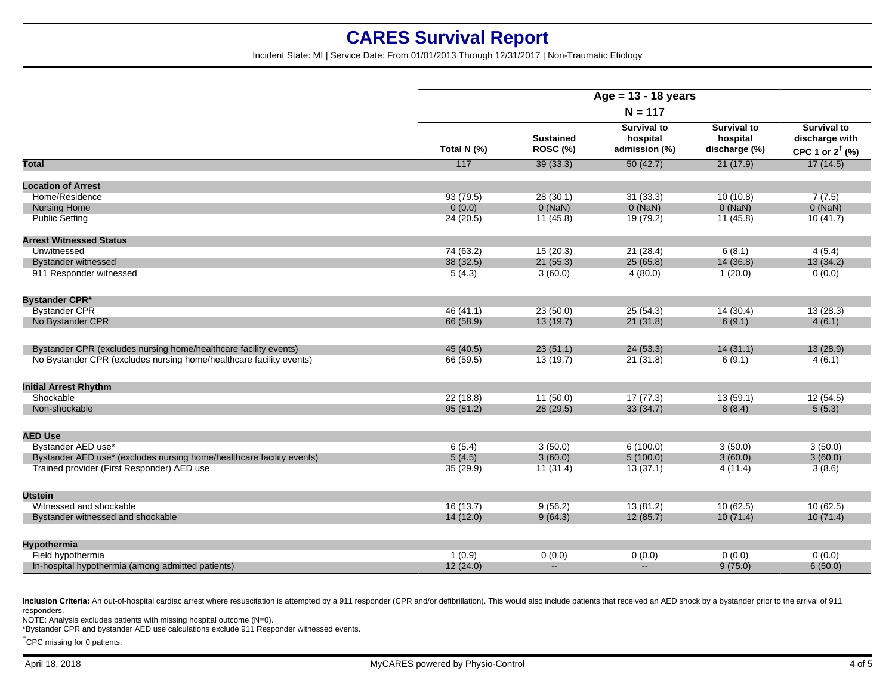Incident State: MI | Service Date: From 01/01/2013 Through 12/31/2017 | Non-Traumatic Etiology

|                                                                       | Age = $13 - 18$ years<br>$N = 117$ |                              |                                                 |                                                 |                                                                    |
|-----------------------------------------------------------------------|------------------------------------|------------------------------|-------------------------------------------------|-------------------------------------------------|--------------------------------------------------------------------|
|                                                                       |                                    |                              |                                                 |                                                 |                                                                    |
|                                                                       | Total N (%)                        | <b>Sustained</b><br>ROSC (%) | <b>Survival to</b><br>hospital<br>admission (%) | <b>Survival to</b><br>hospital<br>discharge (%) | <b>Survival to</b><br>discharge with<br>CPC 1 or $2^{\dagger}$ (%) |
| <b>Total</b>                                                          | 117                                | 39(33.3)                     | 50(42.7)                                        | 21(17.9)                                        | 17(14.5)                                                           |
| <b>Location of Arrest</b>                                             |                                    |                              |                                                 |                                                 |                                                                    |
| Home/Residence                                                        | 93(79.5)                           | 28(30.1)                     | 31(33.3)                                        | 10(10.8)                                        | 7(7.5)                                                             |
| <b>Nursing Home</b>                                                   | 0(0.0)                             | $0$ (NaN)                    | $0$ (NaN)                                       | $0$ (NaN)                                       | $0$ (NaN)                                                          |
| <b>Public Setting</b>                                                 | 24 (20.5)                          | 11(45.8)                     | 19 (79.2)                                       | 11(45.8)                                        | 10(41.7)                                                           |
| <b>Arrest Witnessed Status</b>                                        |                                    |                              |                                                 |                                                 |                                                                    |
| Unwitnessed                                                           | 74 (63.2)                          | 15(20.3)                     | 21(28.4)                                        | 6(8.1)                                          | 4(5.4)                                                             |
| <b>Bystander witnessed</b>                                            | 38 (32.5)                          | 21(55.3)                     | 25(65.8)                                        | 14 (36.8)                                       | 13(34.2)                                                           |
| 911 Responder witnessed                                               | 5(4.3)                             | 3(60.0)                      | 4(80.0)                                         | 1(20.0)                                         | 0(0.0)                                                             |
| <b>Bystander CPR*</b>                                                 |                                    |                              |                                                 |                                                 |                                                                    |
| <b>Bystander CPR</b>                                                  | 46(41.1)                           | 23(50.0)                     | 25(54.3)                                        | 14(30.4)                                        | 13(28.3)                                                           |
| No Bystander CPR                                                      | 66 (58.9)                          | 13(19.7)                     | 21(31.8)                                        | 6(9.1)                                          | 4(6.1)                                                             |
| Bystander CPR (excludes nursing home/healthcare facility events)      | 45 (40.5)                          | 23(51.1)                     | 24(53.3)                                        | 14(31.1)                                        | 13(28.9)                                                           |
| No Bystander CPR (excludes nursing home/healthcare facility events)   | 66 (59.5)                          | 13(19.7)                     | 21(31.8)                                        | 6(9.1)                                          | 4(6.1)                                                             |
| <b>Initial Arrest Rhythm</b>                                          |                                    |                              |                                                 |                                                 |                                                                    |
| Shockable                                                             | 22(18.8)                           | 11(50.0)                     | 17(77.3)                                        | 13(59.1)                                        | 12(54.5)                                                           |
| Non-shockable                                                         | 95(81.2)                           | 28 (29.5)                    | 33(34.7)                                        | 8(8.4)                                          | 5(5.3)                                                             |
| <b>AED Use</b>                                                        |                                    |                              |                                                 |                                                 |                                                                    |
| Bystander AED use*                                                    | 6(5.4)                             | 3(50.0)                      | 6(100.0)                                        | 3(50.0)                                         | 3(50.0)                                                            |
| Bystander AED use* (excludes nursing home/healthcare facility events) | 5(4.5)                             | 3(60.0)                      | 5(100.0)                                        | 3(60.0)                                         | 3(60.0)                                                            |
| Trained provider (First Responder) AED use                            | 35(29.9)                           | 11(31.4)                     | 13(37.1)                                        | 4(11.4)                                         | 3(8.6)                                                             |
| <b>Utstein</b>                                                        |                                    |                              |                                                 |                                                 |                                                                    |
| Witnessed and shockable                                               | 16 (13.7)                          | 9(56.2)                      | 13(81.2)                                        | 10(62.5)                                        | 10(62.5)                                                           |
| Bystander witnessed and shockable                                     | 14(12.0)                           | 9(64.3)                      | 12(85.7)                                        | 10(71.4)                                        | 10(71.4)                                                           |
| Hypothermia                                                           |                                    |                              |                                                 |                                                 |                                                                    |
| Field hypothermia                                                     | 1(0.9)                             | 0(0.0)                       | 0(0.0)                                          | 0(0.0)                                          | 0(0.0)                                                             |
| In-hospital hypothermia (among admitted patients)                     | 12(24.0)                           | $\mathbf{u}$                 | $\mathbf{L}$                                    | 9(75.0)                                         | 6(50.0)                                                            |
|                                                                       |                                    |                              |                                                 |                                                 |                                                                    |

Inclusion Criteria: An out-of-hospital cardiac arrest where resuscitation is attempted by a 911 responder (CPR and/or defibrillation). This would also include patients that received an AED shock by a bystander prior to the responders.

NOTE: Analysis excludes patients with missing hospital outcome (N=0).

\*Bystander CPR and bystander AED use calculations exclude 911 Responder witnessed events.